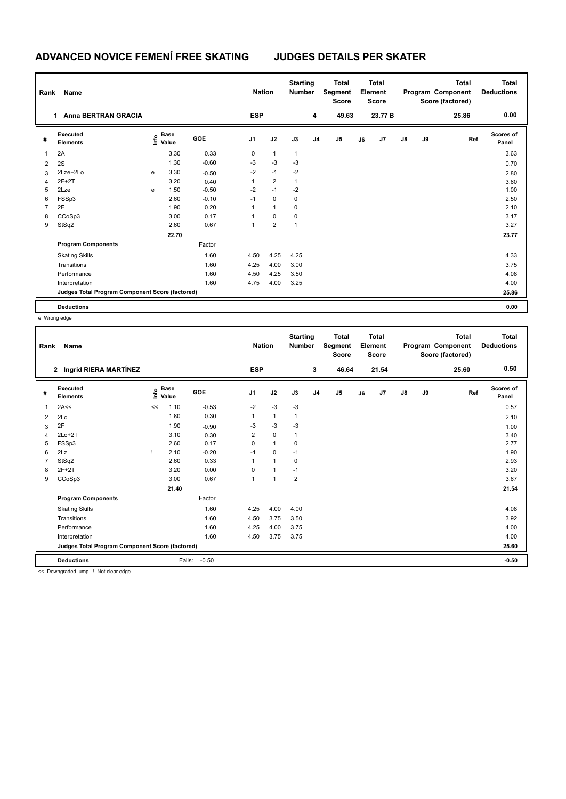## **ADVANCED NOVICE FEMENÍ FREE SKATING JUDGES DETAILS PER SKATER**

| Rank<br>Name   |                                                 |   |                                  |            |                | <b>Nation</b>  |              | <b>Starting</b><br><b>Number</b> | <b>Total</b><br>Segment<br><b>Score</b> | <b>Total</b><br>Element<br><b>Score</b> |                | <b>Total</b><br>Program Component<br>Score (factored) |    |       | <b>Total</b><br><b>Deductions</b> |
|----------------|-------------------------------------------------|---|----------------------------------|------------|----------------|----------------|--------------|----------------------------------|-----------------------------------------|-----------------------------------------|----------------|-------------------------------------------------------|----|-------|-----------------------------------|
|                | <b>Anna BERTRAN GRACIA</b><br>1.                |   |                                  |            | <b>ESP</b>     |                |              | 4                                | 49.63                                   |                                         | 23.77 B        |                                                       |    | 25.86 | 0.00                              |
| #              | <b>Executed</b><br><b>Elements</b>              |   | <b>Base</b><br>e Base<br>⊆ Value | <b>GOE</b> | J <sub>1</sub> | J2             | J3           | J <sub>4</sub>                   | J <sub>5</sub>                          | J6                                      | J <sub>7</sub> | $\mathsf{J}8$                                         | J9 | Ref   | Scores of<br>Panel                |
| 1              | 2A                                              |   | 3.30                             | 0.33       | 0              | $\mathbf{1}$   | $\mathbf{1}$ |                                  |                                         |                                         |                |                                                       |    |       | 3.63                              |
| 2              | 2S                                              |   | 1.30                             | $-0.60$    | $-3$           | $-3$           | $-3$         |                                  |                                         |                                         |                |                                                       |    |       | 0.70                              |
| 3              | 2Lze+2Lo                                        | e | 3.30                             | $-0.50$    | $-2$           | $-1$           | $-2$         |                                  |                                         |                                         |                |                                                       |    |       | 2.80                              |
| $\overline{4}$ | $2F+2T$                                         |   | 3.20                             | 0.40       | 1              | $\overline{2}$ | $\mathbf{1}$ |                                  |                                         |                                         |                |                                                       |    |       | 3.60                              |
| 5              | 2Lze                                            | e | 1.50                             | $-0.50$    | $-2$           | $-1$           | $-2$         |                                  |                                         |                                         |                |                                                       |    |       | 1.00                              |
| 6              | FSSp3                                           |   | 2.60                             | $-0.10$    | $-1$           | $\mathbf 0$    | 0            |                                  |                                         |                                         |                |                                                       |    |       | 2.50                              |
| 7              | 2F                                              |   | 1.90                             | 0.20       | 1              | $\mathbf{1}$   | 0            |                                  |                                         |                                         |                |                                                       |    |       | 2.10                              |
| 8              | CCoSp3                                          |   | 3.00                             | 0.17       | 1              | $\mathbf 0$    | 0            |                                  |                                         |                                         |                |                                                       |    |       | 3.17                              |
| 9              | StSq2                                           |   | 2.60                             | 0.67       | 1              | $\overline{2}$ | $\mathbf{1}$ |                                  |                                         |                                         |                |                                                       |    |       | 3.27                              |
|                |                                                 |   | 22.70                            |            |                |                |              |                                  |                                         |                                         |                |                                                       |    |       | 23.77                             |
|                | <b>Program Components</b>                       |   |                                  | Factor     |                |                |              |                                  |                                         |                                         |                |                                                       |    |       |                                   |
|                | <b>Skating Skills</b>                           |   |                                  | 1.60       | 4.50           | 4.25           | 4.25         |                                  |                                         |                                         |                |                                                       |    |       | 4.33                              |
|                | Transitions                                     |   |                                  | 1.60       | 4.25           | 4.00           | 3.00         |                                  |                                         |                                         |                |                                                       |    |       | 3.75                              |
|                | Performance                                     |   |                                  | 1.60       | 4.50           | 4.25           | 3.50         |                                  |                                         |                                         |                |                                                       |    |       | 4.08                              |
|                | Interpretation                                  |   |                                  | 1.60       | 4.75           | 4.00           | 3.25         |                                  |                                         |                                         |                |                                                       |    |       | 4.00                              |
|                | Judges Total Program Component Score (factored) |   |                                  |            |                |                |              |                                  |                                         |                                         |                |                                                       |    |       | 25.86                             |
|                | <b>Deductions</b>                               |   |                                  |            |                |                |              |                                  |                                         |                                         |                |                                                       |    |       | 0.00                              |

e Wrong edge

| Rank           | Name                                                   |    |                      |            | <b>Nation</b>  |              | <b>Starting</b><br><b>Number</b> |                | <b>Total</b><br>Segment<br><b>Score</b> |    | <b>Total</b><br>Element<br><b>Score</b> |    |    | <b>Total</b><br>Program Component<br>Score (factored) | <b>Total</b><br><b>Deductions</b> |
|----------------|--------------------------------------------------------|----|----------------------|------------|----------------|--------------|----------------------------------|----------------|-----------------------------------------|----|-----------------------------------------|----|----|-------------------------------------------------------|-----------------------------------|
|                | 2 Ingrid RIERA MARTÍNEZ                                |    |                      |            | <b>ESP</b>     |              |                                  | 3              | 46.64                                   |    | 21.54                                   |    |    | 25.60                                                 | 0.50                              |
| #              | <b>Executed</b><br><b>Elements</b>                     | ۴o | <b>Base</b><br>Value | <b>GOE</b> | J <sub>1</sub> | J2           | J3                               | J <sub>4</sub> | J5                                      | J6 | J <sub>7</sub>                          | J8 | J9 | Ref                                                   | <b>Scores of</b><br>Panel         |
| $\mathbf{1}$   | 2A<<                                                   | << | 1.10                 | $-0.53$    | $-2$           | $-3$         | $-3$                             |                |                                         |    |                                         |    |    |                                                       | 0.57                              |
| $\overline{2}$ | 2Lo                                                    |    | 1.80                 | 0.30       | 1              | $\mathbf{1}$ | $\mathbf{1}$                     |                |                                         |    |                                         |    |    |                                                       | 2.10                              |
| 3              | 2F                                                     |    | 1.90                 | $-0.90$    | $-3$           | $-3$         | $-3$                             |                |                                         |    |                                         |    |    |                                                       | 1.00                              |
| 4              | $2Lo+2T$                                               |    | 3.10                 | 0.30       | 2              | $\mathbf 0$  | $\mathbf{1}$                     |                |                                         |    |                                         |    |    |                                                       | 3.40                              |
| 5              | FSSp3                                                  |    | 2.60                 | 0.17       | $\mathbf 0$    | $\mathbf{1}$ | 0                                |                |                                         |    |                                         |    |    |                                                       | 2.77                              |
| 6              | 2Lz                                                    |    | 2.10                 | $-0.20$    | $-1$           | $\mathbf 0$  | $-1$                             |                |                                         |    |                                         |    |    |                                                       | 1.90                              |
|                | StSq2                                                  |    | 2.60                 | 0.33       | 1              | $\mathbf{1}$ | $\mathbf 0$                      |                |                                         |    |                                         |    |    |                                                       | 2.93                              |
| 8              | $2F+2T$                                                |    | 3.20                 | 0.00       | 0              | $\mathbf{1}$ | $-1$                             |                |                                         |    |                                         |    |    |                                                       | 3.20                              |
| 9              | CCoSp3                                                 |    | 3.00                 | 0.67       | $\mathbf{1}$   | $\mathbf{1}$ | $\overline{2}$                   |                |                                         |    |                                         |    |    |                                                       | 3.67                              |
|                |                                                        |    | 21.40                |            |                |              |                                  |                |                                         |    |                                         |    |    |                                                       | 21.54                             |
|                | <b>Program Components</b>                              |    |                      | Factor     |                |              |                                  |                |                                         |    |                                         |    |    |                                                       |                                   |
|                | <b>Skating Skills</b>                                  |    |                      | 1.60       | 4.25           | 4.00         | 4.00                             |                |                                         |    |                                         |    |    |                                                       | 4.08                              |
|                | Transitions                                            |    |                      | 1.60       | 4.50           | 3.75         | 3.50                             |                |                                         |    |                                         |    |    |                                                       | 3.92                              |
|                | Performance                                            |    |                      | 1.60       | 4.25           | 4.00         | 3.75                             |                |                                         |    |                                         |    |    |                                                       | 4.00                              |
|                | Interpretation                                         |    |                      | 1.60       | 4.50           | 3.75         | 3.75                             |                |                                         |    |                                         |    |    |                                                       | 4.00                              |
|                | Judges Total Program Component Score (factored)        |    |                      |            |                |              |                                  |                |                                         |    |                                         |    |    |                                                       | 25.60                             |
|                | <b>Deductions</b>                                      |    | Falls:               | $-0.50$    |                |              |                                  |                |                                         |    |                                         |    |    |                                                       | $-0.50$                           |
|                | and Process associated to see a 11 Minutes and a state |    |                      |            |                |              |                                  |                |                                         |    |                                         |    |    |                                                       |                                   |

<< Downgraded jump ! Not clear edge